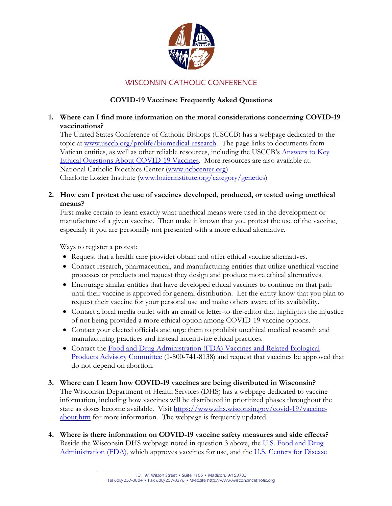

# WISCONSIN CATHOLIC CONFERENCE

## **COVID-19 Vaccines: Frequently Asked Questions**

## **1. Where can I find more information on the moral considerations concerning COVID-19 vaccinations?**

The United States Conference of Catholic Bishops (USCCB) has a webpage dedicated to the topic at [www.usccb.org/prolife/biomedical-research.](http://www.usccb.org/prolife/biomedical-research) The page links to documents from Vatican entities, as well as other reliable resources, including the USCCB's [Answers](https://www.usccb.org/resources/Answers%20to%20Key%20Ethical%20Questions%20About%20COVID-19%20Vaccines.pdf) to Key Ethical Questions About [COVID-19](https://www.usccb.org/resources/Answers%20to%20Key%20Ethical%20Questions%20About%20COVID-19%20Vaccines.pdf) Vaccines. More resources are also available at: National Catholic Bioethics Center [\(www.ncbcenter.org\)](http://www.ncbcenter.org/) Charlotte Lozier Institute [\(www.lozierinstitute.org/category/genetics\)](http://www.lozierinstitute.org/category/genetics)

### **2. How can I protest the use of vaccines developed, produced, or tested using unethical means?**

First make certain to learn exactly what unethical means were used in the development or manufacture of a given vaccine. Then make it known that you protest the use of the vaccine, especially if you are personally not presented with a more ethical alternative.

Ways to register a protest:

- Request that a health care provider obtain and offer ethical vaccine alternatives.
- Contact research, pharmaceutical, and manufacturing entities that utilize unethical vaccine processes or products and request they design and produce more ethical alternatives.
- Encourage similar entities that have developed ethical vaccines to continue on that path until their vaccine is approved for general distribution. Let the entity know that you plan to request their vaccine for your personal use and make others aware of its availability.
- Contact a local media outlet with an email or letter-to-the-editor that highlights the injustice of not being provided a more ethical option among COVID-19 vaccine options.
- Contact your elected officials and urge them to prohibit unethical medical research and manufacturing practices and instead incentivize ethical practices.
- Contact the Food and Drug Administration (FDA) Vaccines and Related Biological [Products Advisory Committee](https://www.fda.gov/advisory-committees/blood-vaccines-and-other-biologics/vaccines-and-related-biological-products-advisory-committee) (1-800-741-8138) and request that vaccines be approved that do not depend on abortion.

#### **3. Where can I learn how COVID-19 vaccines are being distributed in Wisconsin?** The Wisconsin Department of Health Services (DHS) has a webpage dedicated to vaccine information, including how vaccines will be distributed in prioritized phases throughout the state as doses become available. Visit [https://www.dhs.wisconsin.gov/covid-19/vaccine](https://www.dhs.wisconsin.gov/covid-19/vaccine-about.htm)[about.htm](https://www.dhs.wisconsin.gov/covid-19/vaccine-about.htm) for more information. The webpage is frequently updated.

**4. Where is there information on COVID-19 vaccine safety measures and side effects?** Beside the Wisconsin DHS webpage noted in question 3 above, the U.S. [Food](https://www.fda.gov/emergency-preparedness-and-response/coronavirus-disease-2019-covid-19/covid-19-vaccines#news) and Drug [Administration](https://www.fda.gov/emergency-preparedness-and-response/coronavirus-disease-2019-covid-19/covid-19-vaccines#news) (FDA), which approves vaccines for use, and the U.S. Centers for [Disease](https://www.cdc.gov/vaccines/covid-19/index.html)